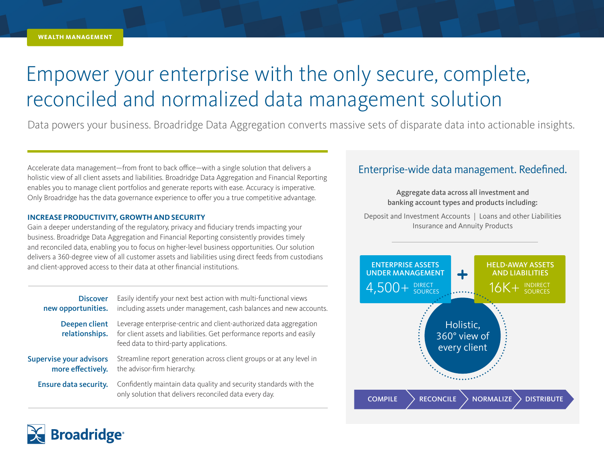# Empower your enterprise with the only secure, complete, reconciled and normalized data management solution

Data powers your business. Broadridge Data Aggregation converts massive sets of disparate data into actionable insights.

Accelerate data management—from front to back office—with a single solution that delivers a holistic view of all client assets and liabilities. Broadridge Data Aggregation and Financial Reporting enables you to manage client portfolios and generate reports with ease. Accuracy is imperative. Only Broadridge has the data governance experience to offer you a true competitive advantage.

#### **INCREASE PRODUCTIVITY, GROWTH AND SECURITY**

Gain a deeper understanding of the regulatory, privacy and fiduciary trends impacting your business. Broadridge Data Aggregation and Financial Reporting consistently provides timely and reconciled data, enabling you to focus on higher-level business opportunities. Our solution delivers a 360-degree view of all customer assets and liabilities using direct feeds from custodians and client-approved access to their data at other financial institutions.

| <b>Discover</b><br>new opportunities.               | Easily identify your next best action with multi-functional views<br>including assets under management, cash balances and new accounts.                                               |
|-----------------------------------------------------|---------------------------------------------------------------------------------------------------------------------------------------------------------------------------------------|
| Deepen client<br>relationships.                     | Leverage enterprise-centric and client-authorized data aggregation<br>for client assets and liabilities. Get performance reports and easily<br>feed data to third-party applications. |
| <b>Supervise your advisors</b><br>more effectively. | Streamline report generation across client groups or at any level in<br>the advisor-firm hierarchy.                                                                                   |
| <b>Ensure data security.</b>                        | Confidently maintain data quality and security standards with the<br>only solution that delivers reconciled data every day.                                                           |
|                                                     |                                                                                                                                                                                       |

### Enterprise-wide data management. Redefined.

Aggregate data across all investment and banking account types and products including:

Deposit and Investment Accounts | Loans and other Liabilities Insurance and Annuity Products